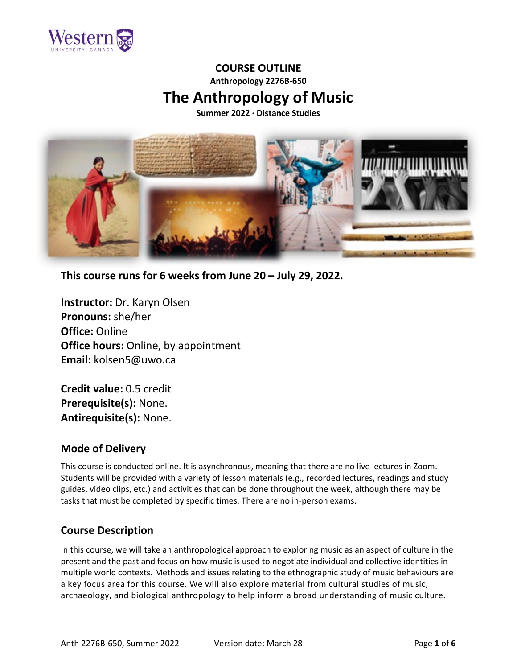

# **COURSE OUTLINE Anthropology 2276B-650 The Anthropology of Music**

**Summer 2022 ∙ Distance Studies**



**This course runs for 6 weeks from June 20 – July 29, 2022.**

**Instructor:** Dr. Karyn Olsen **Pronouns:** she/her **Office:** Online **Office hours:** Online, by appointment **Email:** kolsen5@uwo.ca

**Credit value:** 0.5 credit **Prerequisite(s):** None. **Antirequisite(s):** None.

# **Mode of Delivery**

This course is conducted online. It is asynchronous, meaning that there are no live lectures in Zoom. Students will be provided with a variety of lesson materials (e.g., recorded lectures, readings and study guides, video clips, etc.) and activities that can be done throughout the week, although there may be tasks that must be completed by specific times. There are no in-person exams.

# **Course Description**

In this course, we will take an anthropological approach to exploring music as an aspect of culture in the present and the past and focus on how music is used to negotiate individual and collective identities in multiple world contexts. Methods and issues relating to the ethnographic study of music behaviours are a key focus area for this course. We will also explore material from cultural studies of music, archaeology, and biological anthropology to help inform a broad understanding of music culture.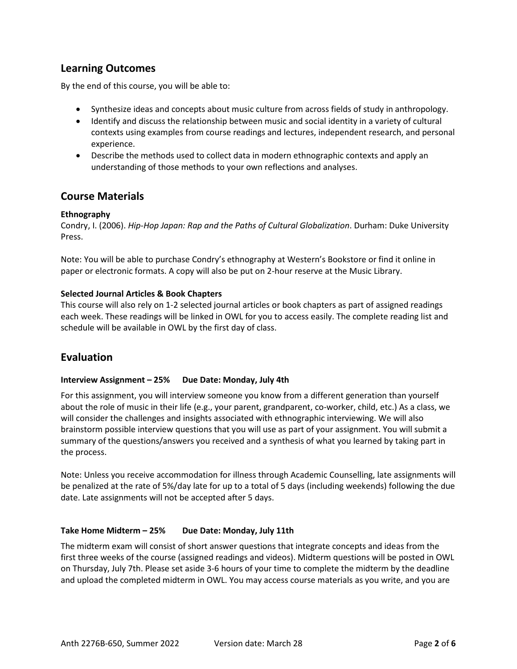# **Learning Outcomes**

By the end of this course, you will be able to:

- Synthesize ideas and concepts about music culture from across fields of study in anthropology.
- Identify and discuss the relationship between music and social identity in a variety of cultural contexts using examples from course readings and lectures, independent research, and personal experience.
- Describe the methods used to collect data in modern ethnographic contexts and apply an understanding of those methods to your own reflections and analyses.

## **Course Materials**

### **Ethnography**

Condry, I. (2006). *Hip-Hop Japan: Rap and the Paths of Cultural Globalization*. Durham: Duke University Press.

Note: You will be able to purchase Condry's ethnography at Western's Bookstore or find it online in paper or electronic formats. A copy will also be put on 2-hour reserve at the Music Library.

### **Selected Journal Articles & Book Chapters**

This course will also rely on 1-2 selected journal articles or book chapters as part of assigned readings each week. These readings will be linked in OWL for you to access easily. The complete reading list and schedule will be available in OWL by the first day of class.

# **Evaluation**

### **Interview Assignment – 25% Due Date: Monday, July 4th**

For this assignment, you will interview someone you know from a different generation than yourself about the role of music in their life (e.g., your parent, grandparent, co-worker, child, etc.) As a class, we will consider the challenges and insights associated with ethnographic interviewing. We will also brainstorm possible interview questions that you will use as part of your assignment. You will submit a summary of the questions/answers you received and a synthesis of what you learned by taking part in the process.

Note: Unless you receive accommodation for illness through Academic Counselling, late assignments will be penalized at the rate of 5%/day late for up to a total of 5 days (including weekends) following the due date. Late assignments will not be accepted after 5 days.

### **Take Home Midterm – 25% Due Date: Monday, July 11th**

The midterm exam will consist of short answer questions that integrate concepts and ideas from the first three weeks of the course (assigned readings and videos). Midterm questions will be posted in OWL on Thursday, July 7th. Please set aside 3-6 hours of your time to complete the midterm by the deadline and upload the completed midterm in OWL. You may access course materials as you write, and you are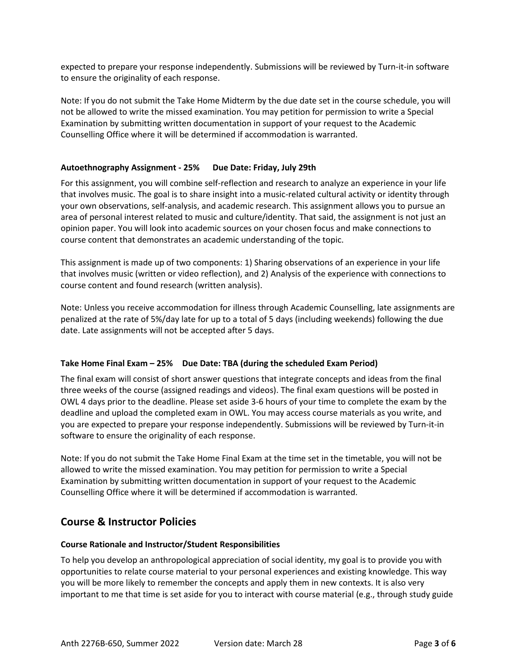expected to prepare your response independently. Submissions will be reviewed by Turn-it-in software to ensure the originality of each response.

Note: If you do not submit the Take Home Midterm by the due date set in the course schedule, you will not be allowed to write the missed examination. You may petition for permission to write a Special Examination by submitting written documentation in support of your request to the Academic Counselling Office where it will be determined if accommodation is warranted.

### **Autoethnography Assignment - 25% Due Date: Friday, July 29th**

For this assignment, you will combine self-reflection and research to analyze an experience in your life that involves music. The goal is to share insight into a music-related cultural activity or identity through your own observations, self-analysis, and academic research. This assignment allows you to pursue an area of personal interest related to music and culture/identity. That said, the assignment is not just an opinion paper. You will look into academic sources on your chosen focus and make connections to course content that demonstrates an academic understanding of the topic.

This assignment is made up of two components: 1) Sharing observations of an experience in your life that involves music (written or video reflection), and 2) Analysis of the experience with connections to course content and found research (written analysis).

Note: Unless you receive accommodation for illness through Academic Counselling, late assignments are penalized at the rate of 5%/day late for up to a total of 5 days (including weekends) following the due date. Late assignments will not be accepted after 5 days.

### **Take Home Final Exam – 25% Due Date: TBA (during the scheduled Exam Period)**

The final exam will consist of short answer questions that integrate concepts and ideas from the final three weeks of the course (assigned readings and videos). The final exam questions will be posted in OWL 4 days prior to the deadline. Please set aside 3-6 hours of your time to complete the exam by the deadline and upload the completed exam in OWL. You may access course materials as you write, and you are expected to prepare your response independently. Submissions will be reviewed by Turn-it-in software to ensure the originality of each response.

Note: If you do not submit the Take Home Final Exam at the time set in the timetable, you will not be allowed to write the missed examination. You may petition for permission to write a Special Examination by submitting written documentation in support of your request to the Academic Counselling Office where it will be determined if accommodation is warranted.

# **Course & Instructor Policies**

### **Course Rationale and Instructor/Student Responsibilities**

To help you develop an anthropological appreciation of social identity, my goal is to provide you with opportunities to relate course material to your personal experiences and existing knowledge. This way you will be more likely to remember the concepts and apply them in new contexts. It is also very important to me that time is set aside for you to interact with course material (e.g., through study guide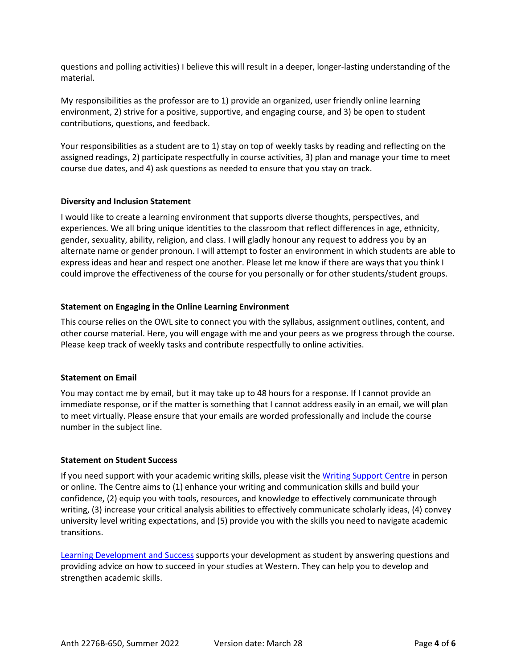questions and polling activities) I believe this will result in a deeper, longer-lasting understanding of the material.

My responsibilities as the professor are to 1) provide an organized, user friendly online learning environment, 2) strive for a positive, supportive, and engaging course, and 3) be open to student contributions, questions, and feedback.

Your responsibilities as a student are to 1) stay on top of weekly tasks by reading and reflecting on the assigned readings, 2) participate respectfully in course activities, 3) plan and manage your time to meet course due dates, and 4) ask questions as needed to ensure that you stay on track.

#### **Diversity and Inclusion Statement**

I would like to create a learning environment that supports diverse thoughts, perspectives, and experiences. We all bring unique identities to the classroom that reflect differences in age, ethnicity, gender, sexuality, ability, religion, and class. I will gladly honour any request to address you by an alternate name or gender pronoun. I will attempt to foster an environment in which students are able to express ideas and hear and respect one another. Please let me know if there are ways that you think I could improve the effectiveness of the course for you personally or for other students/student groups.

#### **Statement on Engaging in the Online Learning Environment**

This course relies on the OWL site to connect you with the syllabus, assignment outlines, content, and other course material. Here, you will engage with me and your peers as we progress through the course. Please keep track of weekly tasks and contribute respectfully to online activities.

#### **Statement on Email**

You may contact me by email, but it may take up to 48 hours for a response. If I cannot provide an immediate response, or if the matter is something that I cannot address easily in an email, we will plan to meet virtually. Please ensure that your emails are worded professionally and include the course number in the subject line.

#### **Statement on Student Success**

If you need support with your academic writing skills, please visit th[e Writing Support Centre](http://writing.uwo.ca/) in person or online. The Centre aims to (1) enhance your writing and communication skills and build your confidence, (2) equip you with tools, resources, and knowledge to effectively communicate through writing, (3) increase your critical analysis abilities to effectively communicate scholarly ideas, (4) convey university level writing expectations, and (5) provide you with the skills you need to navigate academic transitions.

[Learning Development and Success](https://www.uwo.ca/sdc/learning/) supports your development as student by answering questions and providing advice on how to succeed in your studies at Western. They can help you to develop and strengthen academic skills.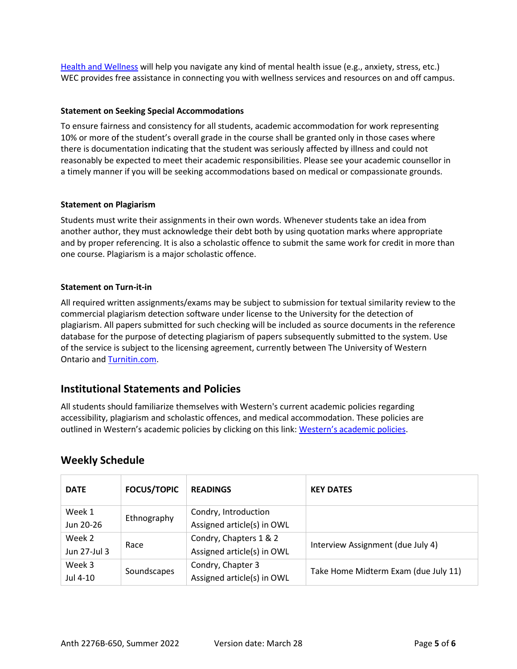[Health and Wellness](https://www.uwo.ca/health/) will help you navigate any kind of mental health issue (e.g., anxiety, stress, etc.) WEC provides free assistance in connecting you with wellness services and resources on and off campus.

### **Statement on Seeking Special Accommodations**

To ensure fairness and consistency for all students, academic accommodation for work representing 10% or more of the student's overall grade in the course shall be granted only in those cases where there is documentation indicating that the student was seriously affected by illness and could not reasonably be expected to meet their academic responsibilities. Please see your academic counsellor in a timely manner if you will be seeking accommodations based on medical or compassionate grounds.

#### **Statement on Plagiarism**

Students must write their assignments in their own words. Whenever students take an idea from another author, they must acknowledge their debt both by using quotation marks where appropriate and by proper referencing. It is also a scholastic offence to submit the same work for credit in more than one course. Plagiarism is a major scholastic offence.

#### **Statement on Turn-it-in**

All required written assignments/exams may be subject to submission for textual similarity review to the commercial plagiarism detection software under license to the University for the detection of plagiarism. All papers submitted for such checking will be included as source documents in the reference database for the purpose of detecting plagiarism of papers subsequently submitted to the system. Use of the service is subject to the licensing agreement, currently between The University of Western Ontario and [Turnitin.com.](https://www.turnitin.com/)

### **Institutional Statements and Policies**

All students should familiarize themselves with Western's current academic policies regarding accessibility, plagiarism and scholastic offences, and medical accommodation. These policies are outlined in Western's academic policies by clicking on this link: [Western's academic policies.](https://westerncalendar.uwo.ca/academicPolicies.cfm?SelectedCalendar=Live&ArchiveID=)

| <b>DATE</b>  | <b>FOCUS/TOPIC</b> | <b>READINGS</b>            | <b>KEY DATES</b>                     |
|--------------|--------------------|----------------------------|--------------------------------------|
| Week 1       | Ethnography        | Condry, Introduction       |                                      |
| Jun 20-26    |                    | Assigned article(s) in OWL |                                      |
| Week 2       | Race               | Condry, Chapters 1 & 2     | Interview Assignment (due July 4)    |
| Jun 27-Jul 3 |                    | Assigned article(s) in OWL |                                      |
| Week 3       | Soundscapes        | Condry, Chapter 3          | Take Home Midterm Exam (due July 11) |
| Jul 4-10     |                    | Assigned article(s) in OWL |                                      |

### **Weekly Schedule**